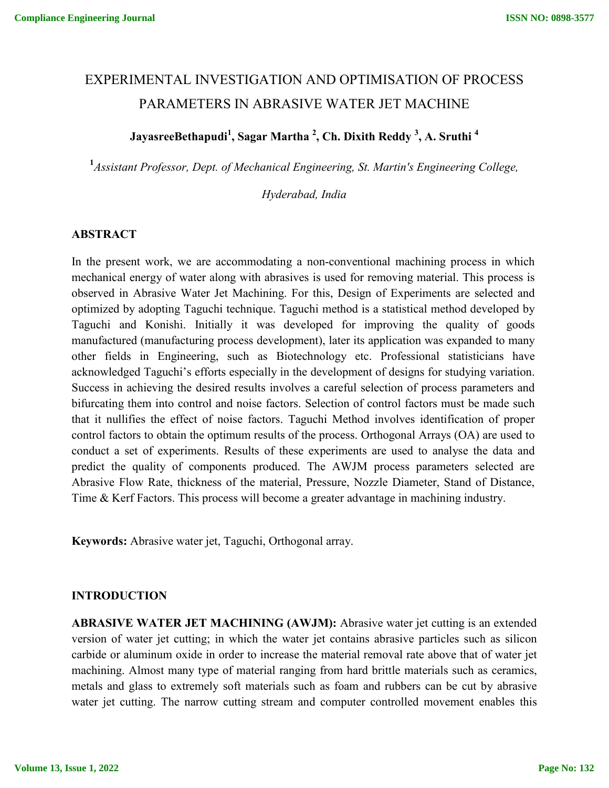# EXPERIMENTAL INVESTIGATION AND OPTIMISATION OF PROCESS PARAMETERS IN ABRASIVE WATER JET MACHINE

## **JayasreeBethapudi<sup>1</sup> , Sagar Martha 2 , Ch. Dixith Reddy <sup>3</sup> , A. Sruthi <sup>4</sup>**

**1** *Assistant Professor, Dept. of Mechanical Engineering, St. Martin's Engineering College,* 

*Hyderabad, India*

#### **ABSTRACT**

In the present work, we are accommodating a non-conventional machining process in which mechanical energy of water along with abrasives is used for removing material. This process is observed in Abrasive Water Jet Machining. For this, Design of Experiments are selected and optimized by adopting Taguchi technique. Taguchi method is a statistical method developed by Taguchi and Konishi. Initially it was developed for improving the quality of goods manufactured (manufacturing process development), later its application was expanded to many other fields in Engineering, such as Biotechnology etc. Professional statisticians have acknowledged Taguchi's efforts especially in the development of designs for studying variation. Success in achieving the desired results involves a careful selection of process parameters and bifurcating them into control and noise factors. Selection of control factors must be made such that it nullifies the effect of noise factors. Taguchi Method involves identification of proper control factors to obtain the optimum results of the process. Orthogonal Arrays (OA) are used to conduct a set of experiments. Results of these experiments are used to analyse the data and predict the quality of components produced. The AWJM process parameters selected are Abrasive Flow Rate, thickness of the material, Pressure, Nozzle Diameter, Stand of Distance, Time & Kerf Factors. This process will become a greater advantage in machining industry.

**Keywords:** Abrasive water jet, Taguchi, Orthogonal array.

#### **INTRODUCTION**

**ABRASIVE WATER JET MACHINING (AWJM):** Abrasive water jet cutting is an extended version of water jet cutting; in which the water jet contains abrasive particles such as silicon carbide or aluminum oxide in order to increase the material removal rate above that of water jet machining. Almost many type of material ranging from hard brittle materials such as ceramics, metals and glass to extremely soft materials such as foam and rubbers can be cut by abrasive water jet cutting. The narrow cutting stream and computer controlled movement enables this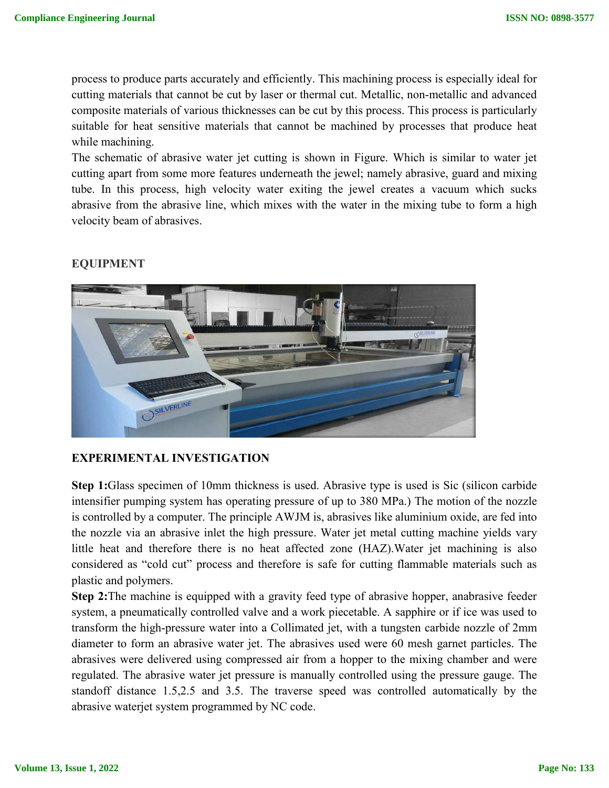process to produce parts accurately and efficiently. This machining process is especially ideal for cutting materials that cannot be cut by laser or thermal cut. Metallic, non-metallic and advanced composite materials of various thicknesses can be cut by this process. This process is particularly suitable for heat sensitive materials that cannot be machined by processes that produce heat while machining.

The schematic of abrasive water jet cutting is shown in Figure. Which is similar to water jet cutting apart from some more features underneath the jewel; namely abrasive, guard and mixing tube. In this process, high velocity water exiting the jewel creates a vacuum which sucks abrasive from the abrasive line, which mixes with the water in the mixing tube to form a high velocity beam of abrasives.

#### **EQUIPMENT**



#### **EXPERIMENTAL INVESTIGATION**

**Step 1:**Glass specimen of 10mm thickness is used. Abrasive type is used is Sic (silicon carbide intensifier pumping system has operating pressure of up to 380 MPa.) The motion of the nozzle is controlled by a computer. The principle AWJM is, abrasives like aluminium oxide, are fed into the nozzle via an abrasive inlet the high pressure. Water jet metal cutting machine yields vary little heat and therefore there is no heat affected zone (HAZ).Water jet machining is also considered as "cold cut" process and therefore is safe for cutting flammable materials such as plastic and polymers.

**Step 2:**The machine is equipped with a gravity feed type of abrasive hopper, anabrasive feeder system, a pneumatically controlled valve and a work piecetable. A sapphire or if ice was used to transform the high-pressure water into a Collimated jet, with a tungsten carbide nozzle of 2mm diameter to form an abrasive water jet. The abrasives used were 60 mesh garnet particles. The abrasives were delivered using compressed air from a hopper to the mixing chamber and were regulated. The abrasive water jet pressure is manually controlled using the pressure gauge. The standoff distance 1.5,2.5 and 3.5. The traverse speed was controlled automatically by the abrasive waterjet system programmed by NC code.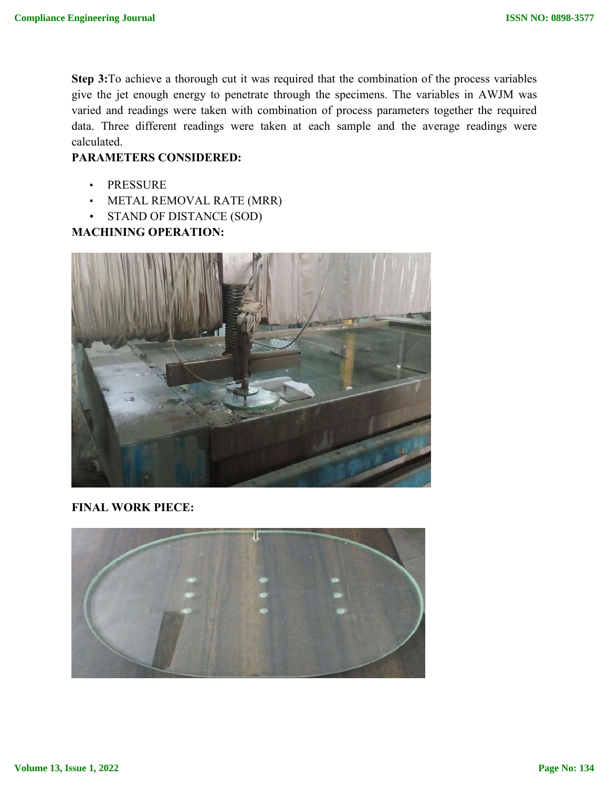**Step 3:**To achieve a thorough cut it was required that the combination of the process variables give the jet enough energy to penetrate through the specimens. The variables in AWJM was varied and readings were taken with combination of process parameters together the required data. Three different readings were taken at each sample and the average readings were calculated.

#### **PARAMETERS CONSIDERED:**

- PRESSURE
- METAL REMOVAL RATE (MRR)
- STAND OF DISTANCE (SOD)

## **MACHINING OPERATION:**



**FINAL WORK PIECE:**

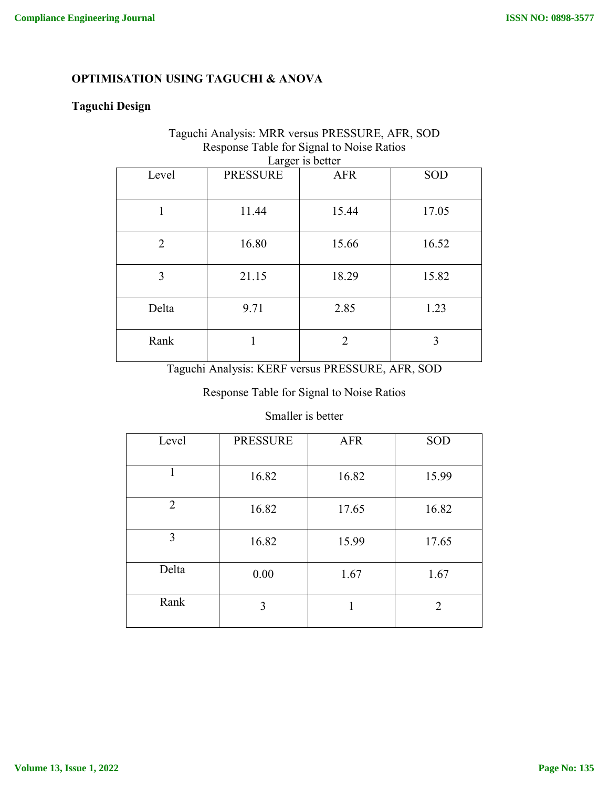## **OPTIMISATION USING TAGUCHI & ANOVA**

## **Taguchi Design**

#### Taguchi Analysis: MRR versus PRESSURE, AFR, SOD Response Table for Signal to Noise Ratios Larger is better

| Larger is better |                 |               |       |  |
|------------------|-----------------|---------------|-------|--|
| Level            | <b>PRESSURE</b> | <b>AFR</b>    | SOD   |  |
| 1                | 11.44           | 15.44         | 17.05 |  |
| $\overline{2}$   | 16.80           | 15.66         | 16.52 |  |
| 3                | 21.15           | 18.29         | 15.82 |  |
| Delta            | 9.71            | 2.85          | 1.23  |  |
| Rank             |                 | $\mathcal{L}$ | 3     |  |

Taguchi Analysis: KERF versus PRESSURE, AFR, SOD

## Response Table for Signal to Noise Ratios

#### Smaller is better

| Level          | <b>PRESSURE</b> | <b>AFR</b> | SOD   |
|----------------|-----------------|------------|-------|
| 1              | 16.82           | 16.82      | 15.99 |
| $\overline{2}$ | 16.82           | 17.65      | 16.82 |
| 3              | 16.82           | 15.99      | 17.65 |
| Delta          | 0.00            | 1.67       | 1.67  |
| Rank           | 3               |            | 2     |